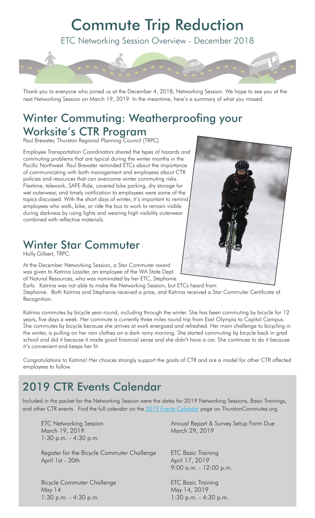# Commute Trip Reduction

ETC Networking Session Overview - December 2018



Thank you to everyone who joined us at the December 4, 2018, Networking Session. We hope to see you at the next Networking Session on March 19, 2019. In the meantime, here's a summary of what you missed.

#### Winter Commuting: Weatherproofing your Worksite's CTR Program

Paul Brewster, Thurston Regional Planning Council (TRPC).

Employee Transportation Coordinators shared the types of hazards and commuting problems that are typical during the winter months in the Pacific Northwest. Paul Brewster reminded ETCs about the importance of communicating with both management and employees about CTR policies and resources that can overcome winter commuting risks. Flextime, telework, SAFE-Ride, covered bike parking, dry storage for wet outerwear, and timely notification to employees were some of the topics discussed. With the short days of winter, it's important to remind employees who walk, bike, or ride the bus to work to remain visible during darkness by using lights and wearing high visibility outerwear combined with reflective materials.

## Winter Star Commuter

Holly Gilbert, TRPC.

At the December Networking Session, a Star Commuter award was given to Katrina Lassiter, an employee of the WA State Dept. of Natural Resources, who was nominated by her ETC, Stephanie

Earls. Katrina was not able to make the Networking Session, but ETCs heard from Stephanie. Both Katrina and Stephanie received a prize, and Katrina received a Star Commuter Certificate of Recognition.

Katrina commutes by bicycle year-round, including through the winter. She has been commuting by bicycle for 12 years, five days a week. Her commute is currently three miles round trip from East Olympia to Capitol Campus. She commutes by bicycle because she arrives at work energized and refreshed. Her main challenge to bicycling in the winter, is pulling on her rain clothes on a dark rainy morning. She started commuting by bicycle back in grad school and did it because it made good financial sense and she didn't have a car. She continues to do it because it's convenient and keeps her fit.

Congratulations to Katrina! Her choices strongly support the goals of CTR and are a model for other CTR affected employees to follow.

## 2019 CTR Events Calendar

Included in the packet for the Networking Session were the dates for 2019 Networking Sessions, Basic Trainings, and other CTR events. Find the full calendar on the [2019 Events Calendar](https://www.trpc.org/618/2019-Events-Calendar) page on ThurstonCommutes.org.

March 19, 2019 March 29, 2019 1:30 p.m. - 4:30 p.m.

Register for the Bicycle Commuter Challenge ETC Basic Training April 1st - 30th April 17, 2019

Bicycle Commuter Challenge **ETC Basic Training** May 14 May 14, 2019 1:30 p.m. - 4:30 p.m.

ETC Networking Session **Annual Report & Survey Setup Form Due** 

9:00 a.m. - 12:00 p.m.